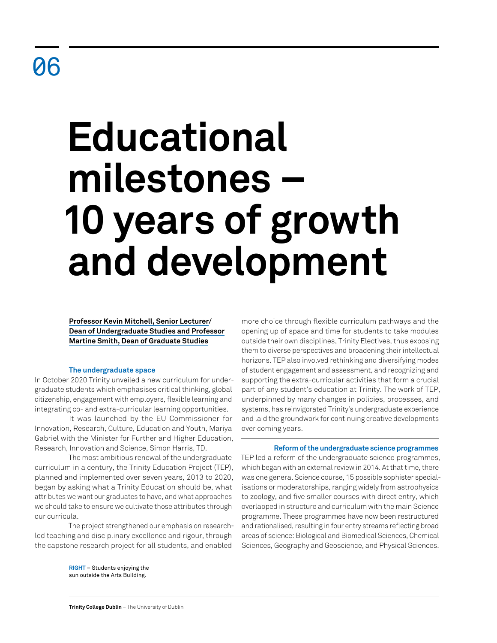# **Educational milestones – 10 years of growth and development**

**Professor Kevin Mitchell, Senior Lecturer/ Dean of Undergraduate Studies and Professor Martine Smith, Dean of Graduate Studies**

# **The undergraduate space**

In October 2020 Trinity unveiled a new curriculum for undergraduate students which emphasises critical thinking, global citizenship, engagement with employers, flexible learning and integrating co- and extra-curricular learning opportunities.

It was launched by the EU Commissioner for Innovation, Research, Culture, Education and Youth, Mariya Gabriel with the Minister for Further and Higher Education, Research, Innovation and Science, Simon Harris, TD.

The most ambitious renewal of the undergraduate curriculum in a century, the Trinity Education Project (TEP), planned and implemented over seven years, 2013 to 2020, began by asking what a Trinity Education should be, what attributes we want our graduates to have, and what approaches we should take to ensure we cultivate those attributes through our curricula.

The project strengthened our emphasis on researchled teaching and disciplinary excellence and rigour, through the capstone research project for all students, and enabled

> **RIGHT** – Students enjoying the sun outside the Arts Building.

more choice through flexible curriculum pathways and the opening up of space and time for students to take modules outside their own disciplines, Trinity Electives, thus exposing them to diverse perspectives and broadening their intellectual horizons. TEP also involved rethinking and diversifying modes of student engagement and assessment, and recognizing and supporting the extra-curricular activities that form a crucial part of any student's education at Trinity. The work of TEP, underpinned by many changes in policies, processes, and systems, has reinvigorated Trinity's undergraduate experience and laid the groundwork for continuing creative developments over coming years.

**Reform of the undergraduate science programmes** TEP led a reform of the undergraduate science programmes, which began with an external review in 2014. At that time, there was one general Science course, 15 possible sophister specialisations or moderatorships, ranging widely from astrophysics to zoology, and five smaller courses with direct entry, which overlapped in structure and curriculum with the main Science programme. These programmes have now been restructured and rationalised, resulting in four entry streams reflecting broad areas of science: Biological and Biomedical Sciences, Chemical Sciences, Geography and Geoscience, and Physical Sciences.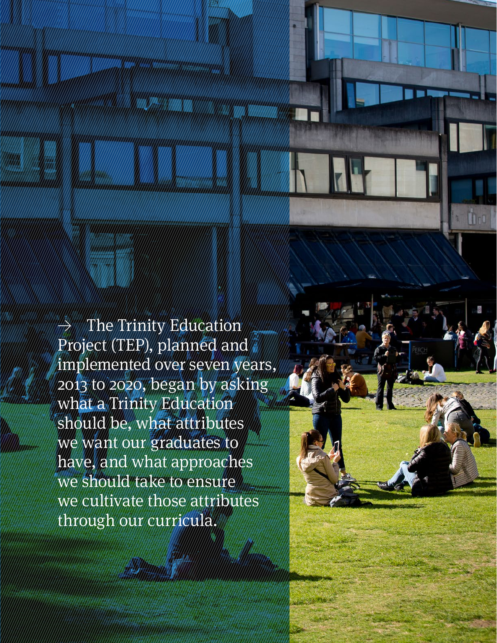The Trinity Education Project (TEP), planned and implemented over seven years, 2013 to 2020, began by asking what a Trinity Education should be, what attributes we want our graduates to have, and what approaches we should take to ensure we cultivate those attributes through our curricula.

**Retrospective Review** 2011–21 60 | 61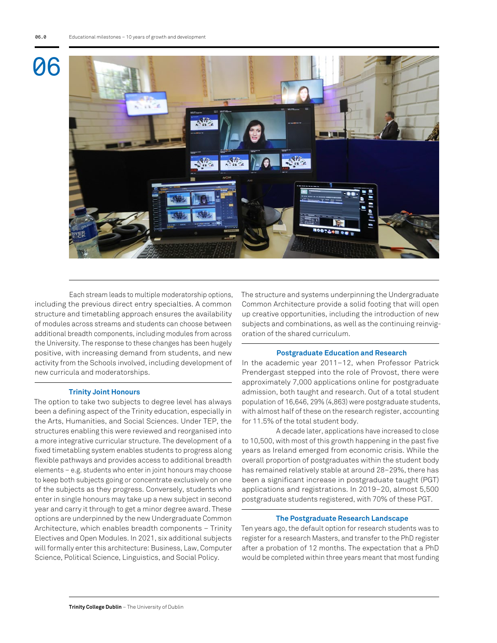

Each stream leads to multiple moderatorship options, including the previous direct entry specialties. A common structure and timetabling approach ensures the availability of modules across streams and students can choose between additional breadth components, including modules from across the University. The response to these changes has been hugely positive, with increasing demand from students, and new activity from the Schools involved, including development of new curricula and moderatorships.

# **Trinity Joint Honours**

The option to take two subjects to degree level has always been a defining aspect of the Trinity education, especially in the Arts, Humanities, and Social Sciences. Under TEP, the structures enabling this were reviewed and reorganised into a more integrative curricular structure. The development of a fixed timetabling system enables students to progress along flexible pathways and provides access to additional breadth elements – e.g. students who enter in joint honours may choose to keep both subjects going or concentrate exclusively on one of the subjects as they progress. Conversely, students who enter in single honours may take up a new subject in second year and carry it through to get a minor degree award. These options are underpinned by the new Undergraduate Common Architecture, which enables breadth components – Trinity Electives and Open Modules. In 2021, six additional subjects will formally enter this architecture: Business, Law, Computer Science, Political Science, Linguistics, and Social Policy.

The structure and systems underpinning the Undergraduate Common Architecture provide a solid footing that will open up creative opportunities, including the introduction of new subjects and combinations, as well as the continuing reinvigoration of the shared curriculum.

#### **Postgraduate Education and Research**

In the academic year 2011–12, when Professor Patrick Prendergast stepped into the role of Provost, there were approximately 7,000 applications online for postgraduate admission, both taught and research. Out of a total student population of 16,646, 29% (4,863) were postgraduate students, with almost half of these on the research register, accounting for 11.5% of the total student body.

A decade later, applications have increased to close to 10,500, with most of this growth happening in the past five years as Ireland emerged from economic crisis. While the overall proportion of postgraduates within the student body has remained relatively stable at around 28–29%, there has been a significant increase in postgraduate taught (PGT) applications and registrations. In 2019–20, almost 5,500 postgraduate students registered, with 70% of these PGT.

## **The Postgraduate Research Landscape**

Ten years ago, the default option for research students was to register for a research Masters, and transfer to the PhD register after a probation of 12 months. The expectation that a PhD would be completed within three years meant that most funding